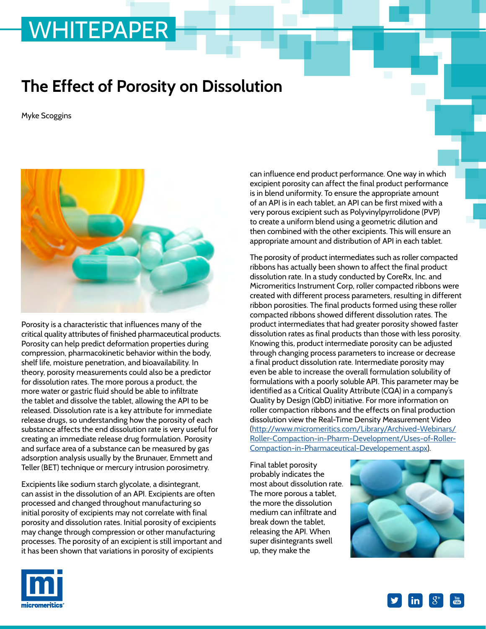## **WHITEPAPER**

## **The Effect of Porosity on Dissolution**

Myke Scoggins



Porosity is a characteristic that influences many of the critical quality attributes of finished pharmaceutical products. Porosity can help predict deformation properties during compression, pharmacokinetic behavior within the body, shelf life, moisture penetration, and bioavailability. In theory, porosity measurements could also be a predictor for dissolution rates. The more porous a product, the more water or gastric fluid should be able to infiltrate the tablet and dissolve the tablet, allowing the API to be released. Dissolution rate is a key attribute for immediate release drugs, so understanding how the porosity of each substance affects the end dissolution rate is very useful for creating an immediate release drug formulation. Porosity and surface area of a substance can be measured by gas adsorption analysis usually by the Brunauer, Emmett and Teller (BET) technique or mercury intrusion porosimetry.

Excipients like sodium starch glycolate, a disintegrant, can assist in the dissolution of an API. Excipients are often processed and changed throughout manufacturing so initial porosity of excipients may not correlate with final porosity and dissolution rates. Initial porosity of excipients may change through compression or other manufacturing processes. The porosity of an excipient is still important and it has been shown that variations in porosity of excipients

can influence end product performance. One way in which excipient porosity can affect the final product performance is in blend uniformity. To ensure the appropriate amount of an API is in each tablet, an API can be first mixed with a very porous excipient such as Polyvinylpyrrolidone (PVP) to create a uniform blend using a geometric dilution and then combined with the other excipients. This will ensure an appropriate amount and distribution of API in each tablet.

The porosity of product intermediates such as roller compacted ribbons has actually been shown to affect the final product dissolution rate. In a study conducted by CoreRx, Inc. and Micromeritics Instrument Corp, roller compacted ribbons were created with different process parameters, resulting in different ribbon porosities. The final products formed using these roller compacted ribbons showed different dissolution rates. The product intermediates that had greater porosity showed faster dissolution rates as final products than those with less porosity. Knowing this, product intermediate porosity can be adjusted through changing process parameters to increase or decrease a final product dissolution rate. Intermediate porosity may even be able to increase the overall formulation solubility of formulations with a poorly soluble API. This parameter may be identified as a Critical Quality Attribute (CQA) in a company's Quality by Design (QbD) initiative. For more information on roller compaction ribbons and the effects on final production dissolution view the Real-Time Density Measurement Video ([http://www.micromeritics.com/Library/Archived-Webinars/](http://www.micromeritics.com/Library/Archived-Webinars/Roller-Compaction-in-Pharm-Development.aspx) [Roller-Compaction-in-Pharm-Development/Uses-of-Roller-](http://www.micromeritics.com/Library/Archived-Webinars/Roller-Compaction-in-Pharm-Development.aspx)[Compaction-in-Pharmaceutical-Developement.aspx\)](http://www.micromeritics.com/Library/Archived-Webinars/Roller-Compaction-in-Pharm-Development.aspx).

Final tablet porosity probably indicates the most about dissolution rate. The more porous a tablet, the more the dissolution medium can infiltrate and break down the tablet, releasing the API. When super disintegrants swell up, they make the